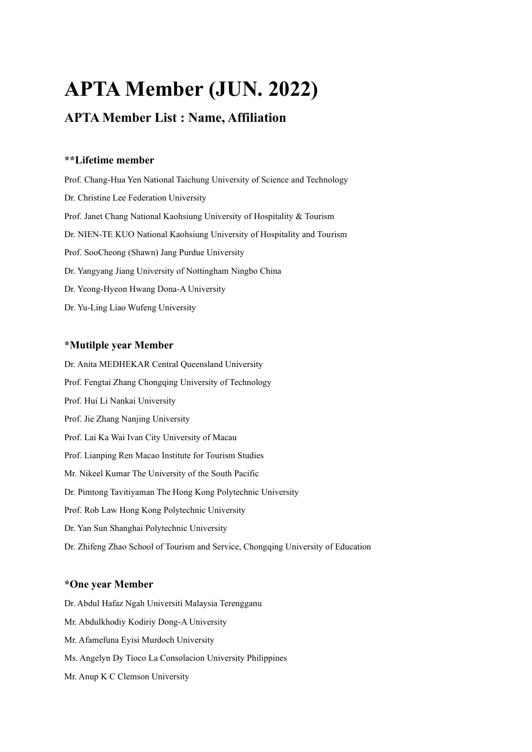# **APTA Member (JUN. 2022)**

## **APTA Member List : Name, Affiliation**

#### **\*\*Lifetime member**

Prof. Chang-Hua Yen National Taichung University of Science and Technology Dr. Christine Lee Federation University Prof. Janet Chang National Kaohsiung University of Hospitality & Tourism Dr. NIEN-TE KUO National Kaohsiung University of Hospitality and Tourism Prof. SooCheong (Shawn) Jang Purdue University Dr. Yangyang Jiang University of Nottingham Ningbo China Dr. Yeong-Hyeon Hwang Dona-A University Dr. Yu-Ling Liao Wufeng University

### **\*Mutilple year Member**

Dr. Anita MEDHEKAR Central Queensland University Prof. Fengtai Zhang Chongqing University of Technology Prof. Hui Li Nankai University Prof. Jie Zhang Nanjing University Prof. Lai Ka Wai Ivan City University of Macau Prof. Lianping Ren Macao Institute for Tourism Studies Mr. Nikeel Kumar The University of the South Pacific Dr. Pimtong Tavitiyaman The Hong Kong Polytechnic University Prof. Rob Law Hong Kong Polytechnic University Dr. Yan Sun Shanghai Polytechnic University Dr. Zhifeng Zhao School of Tourism and Service, Chongqing University of Education

#### **\*One year Member**

Dr. Abdul Hafaz Ngah Universiti Malaysia Terengganu Mr. Abdulkhodiy Kodiriy Dong-A University Mr. Afamefuna Eyisi Murdoch University Ms. Angelyn Dy Tioco La Consolacion University Philippines Mr. Anup K C Clemson University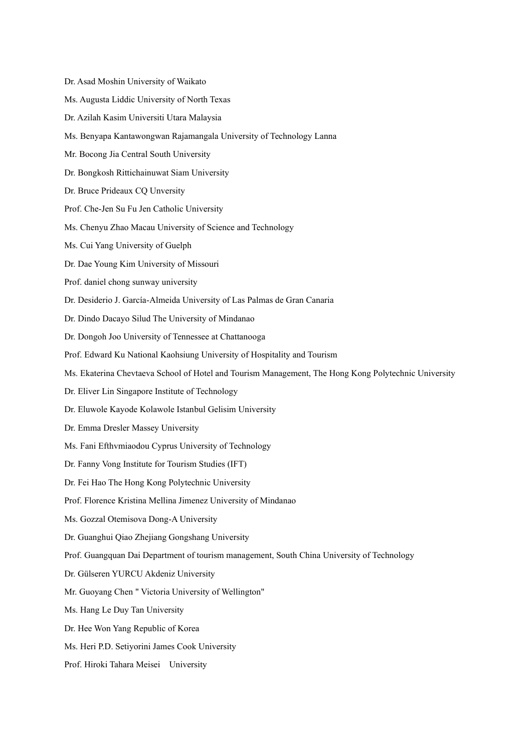Dr. Asad Moshin University of Waikato Ms. Augusta Liddic University of North Texas Dr. Azilah Kasim Universiti Utara Malaysia Ms. Benyapa Kantawongwan Rajamangala University of Technology Lanna Mr. Bocong Jia Central South University Dr. Bongkosh Rittichainuwat Siam University Dr. Bruce Prideaux CQ Unversity Prof. Che-Jen Su Fu Jen Catholic University Ms. Chenyu Zhao Macau University of Science and Technology Ms. Cui Yang University of Guelph Dr. Dae Young Kim University of Missouri Prof. daniel chong sunway university Dr. Desiderio J. García-Almeida University of Las Palmas de Gran Canaria Dr. Dindo Dacayo Silud The University of Mindanao Dr. Dongoh Joo University of Tennessee at Chattanooga Prof. Edward Ku National Kaohsiung University of Hospitality and Tourism Ms. Ekaterina Chevtaeva School of Hotel and Tourism Management, The Hong Kong Polytechnic University Dr. Eliver Lin Singapore Institute of Technology Dr. Eluwole Kayode Kolawole Istanbul Gelisim University Dr. Emma Dresler Massey University Ms. Fani Efthvmiaodou Cyprus University of Technology Dr. Fanny Vong Institute for Tourism Studies (IFT) Dr. Fei Hao The Hong Kong Polytechnic University Prof. Florence Kristina Mellina Jimenez University of Mindanao Ms. Gozzal Otemisova Dong-A University Dr. Guanghui Qiao Zhejiang Gongshang University Prof. Guangquan Dai Department of tourism management, South China University of Technology Dr. Gülseren YURCU Akdeniz University Mr. Guoyang Chen " Victoria University of Wellington" Ms. Hang Le Duy Tan University Dr. Hee Won Yang Republic of Korea Ms. Heri P.D. Setiyorini James Cook University Prof. Hiroki Tahara Meisei University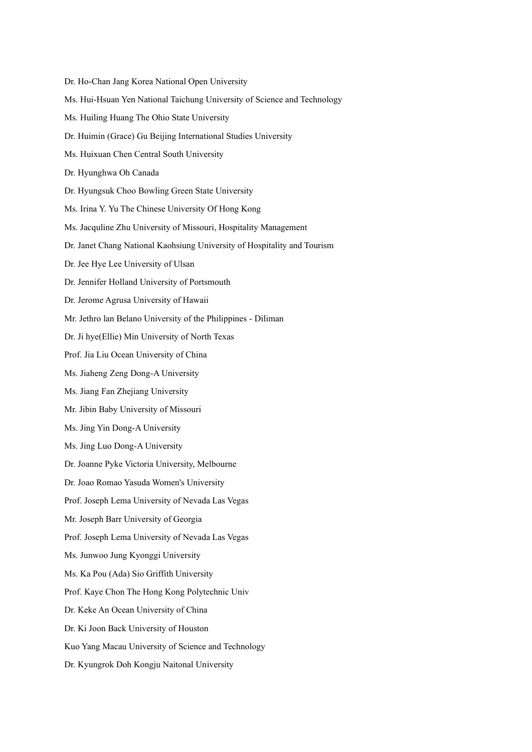Dr. Ho-Chan Jang Korea National Open University Ms. Hui-Hsuan Yen National Taichung University of Science and Technology Ms. Huiling Huang The Ohio State University Dr. Huimin (Grace) Gu Beijing International Studies University Ms. Huixuan Chen Central South University Dr. Hyunghwa Oh Canada Dr. Hyungsuk Choo Bowling Green State University Ms. Irina Y. Yu The Chinese University Of Hong Kong Ms. Jacquline Zhu University of Missouri, Hospitality Management Dr. Janet Chang National Kaohsiung University of Hospitality and Tourism Dr. Jee Hye Lee University of Ulsan Dr. Jennifer Holland University of Portsmouth Dr. Jerome Agrusa University of Hawaii Mr. Jethro lan Belano University of the Philippines - Diliman Dr. Ji hye(Ellie) Min University of North Texas Prof. Jia Liu Ocean University of China Ms. Jiaheng Zeng Dong-A University Ms. Jiang Fan Zhejiang University Mr. Jibin Baby University of Missouri Ms. Jing Yin Dong-A University Ms. Jing Luo Dong-A University Dr. Joanne Pyke Victoria University, Melbourne Dr. Joao Romao Yasuda Women's University Prof. Joseph Lema University of Nevada Las Vegas Mr. Joseph Barr University of Georgia Prof. Joseph Lema University of Nevada Las Vegas Ms. Junwoo Jung Kyonggi University Ms. Ka Pou (Ada) Sio Griffith University Prof. Kaye Chon The Hong Kong Polytechnic Univ Dr. Keke An Ocean University of China Dr. Ki Joon Back University of Houston Kuo Yang Macau University of Science and Technology Dr. Kyungrok Doh Kongju Naitonal University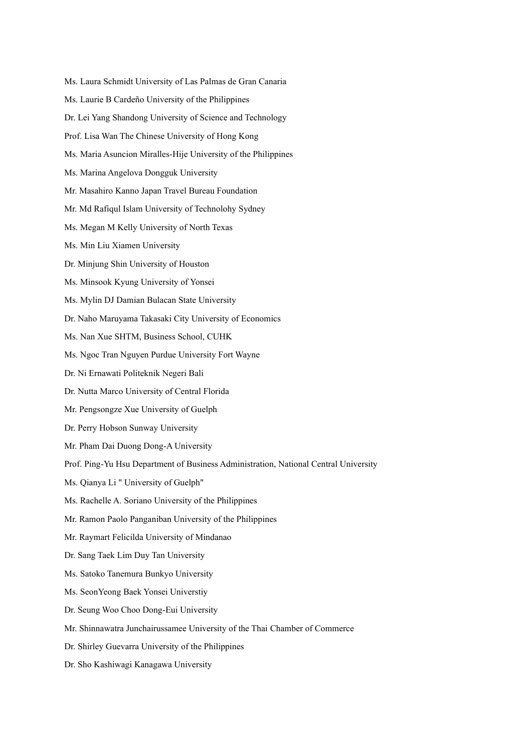Ms. Laura Schmidt University of Las Palmas de Gran Canaria Ms. Laurie B Cardeño University of the Philippines Dr. Lei Yang Shandong University of Science and Technology Prof. Lisa Wan The Chinese University of Hong Kong Ms. Maria Asuncion Miralles-Hije University of the Philippines Ms. Marina Angelova Dongguk University Mr. Masahiro Kanno Japan Travel Bureau Foundation Mr. Md Rafiqul Islam University of Technolohy Sydney Ms. Megan M Kelly University of North Texas Ms. Min Liu Xiamen University Dr. Minjung Shin University of Houston Ms. Minsook Kyung University of Yonsei Ms. Mylin DJ Damian Bulacan State University Dr. Naho Maruyama Takasaki City University of Economics Ms. Nan Xue SHTM, Business School, CUHK Ms. Ngoc Tran Nguyen Purdue University Fort Wayne Dr. Ni Ernawati Politeknik Negeri Bali Dr. Nutta Marco University of Central Florida Mr. Pengsongze Xue University of Guelph Dr. Perry Hobson Sunway University Mr. Pham Dai Duong Dong-A University Prof. Ping-Yu Hsu Department of Business Administration, National Central University Ms. Qianya Li " University of Guelph" Ms. Rachelle A. Soriano University of the Philippines Mr. Ramon Paolo Panganiban University of the Philippines Mr. Raymart Felicilda University of Mindanao Dr. Sang Taek Lim Duy Tan University Ms. Satoko Tanemura Bunkyo University Ms. SeonYeong Baek Yonsei Universtiy Dr. Seung Woo Choo Dong-Eui University Mr. Shinnawatra Junchairussamee University of the Thai Chamber of Commerce Dr. Shirley Guevarra University of the Philippines Dr. Sho Kashiwagi Kanagawa University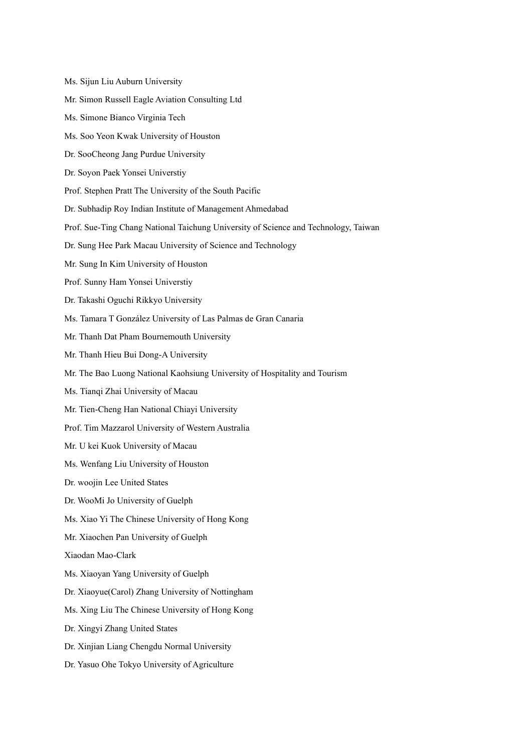Ms. Sijun Liu Auburn University Mr. Simon Russell Eagle Aviation Consulting Ltd Ms. Simone Bianco Virginia Tech Ms. Soo Yeon Kwak University of Houston Dr. SooCheong Jang Purdue University Dr. Soyon Paek Yonsei Universtiy Prof. Stephen Pratt The University of the South Pacific Dr. Subhadip Roy Indian Institute of Management Ahmedabad Prof. Sue-Ting Chang National Taichung University of Science and Technology, Taiwan Dr. Sung Hee Park Macau University of Science and Technology Mr. Sung In Kim University of Houston Prof. Sunny Ham Yonsei Universtiy Dr. Takashi Oguchi Rikkyo University Ms. Tamara T González University of Las Palmas de Gran Canaria Mr. Thanh Dat Pham Bournemouth University Mr. Thanh Hieu Bui Dong-A University Mr. The Bao Luong National Kaohsiung University of Hospitality and Tourism Ms. Tianqi Zhai University of Macau Mr. Tien-Cheng Han National Chiayi University Prof. Tim Mazzarol University of Western Australia Mr. U kei Kuok University of Macau Ms. Wenfang Liu University of Houston Dr. woojin Lee United States Dr. WooMi Jo University of Guelph Ms. Xiao Yi The Chinese University of Hong Kong Mr. Xiaochen Pan University of Guelph Xiaodan Mao-Clark Ms. Xiaoyan Yang University of Guelph Dr. Xiaoyue(Carol) Zhang University of Nottingham Ms. Xing Liu The Chinese University of Hong Kong Dr. Xingyi Zhang United States Dr. Xinjian Liang Chengdu Normal University Dr. Yasuo Ohe Tokyo University of Agriculture